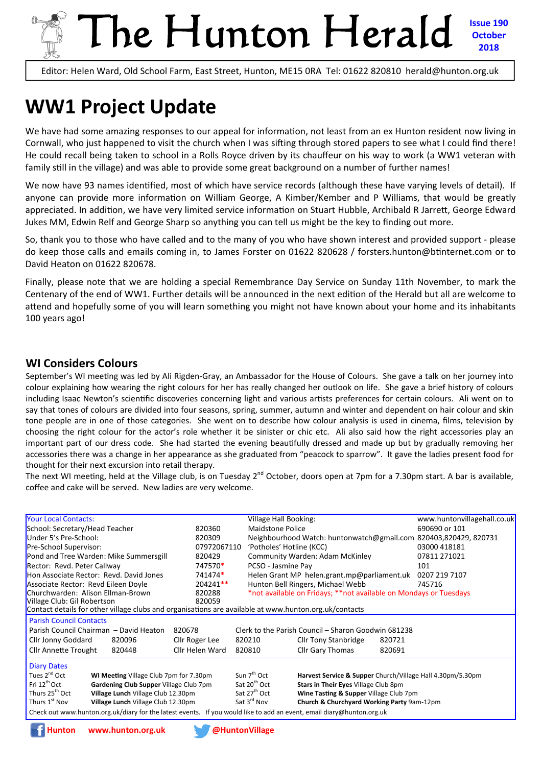## The Hunton Herald **Issue 190 October 2018**

Editor: Helen Ward, Old School Farm, East Street, Hunton, ME15 0RA Tel: 01622 820810 herald@hunton.org.uk

# **WW1 Project Update**

We have had some amazing responses to our appeal for information, not least from an ex Hunton resident now living in Cornwall, who just happened to visit the church when I was sifting through stored papers to see what I could find there! He could recall being taken to school in a Rolls Royce driven by its chauffeur on his way to work (a WW1 veteran with family still in the village) and was able to provide some great background on a number of further names!

We now have 93 names identified, most of which have service records (although these have varying levels of detail). If anyone can provide more information on William George, A Kimber/Kember and P Williams, that would be greatly appreciated. In addition, we have very limited service information on Stuart Hubble, Archibald R Jarrett, George Edward Jukes MM, Edwin Relf and George Sharp so anything you can tell us might be the key to finding out more.

So, thank you to those who have called and to the many of you who have shown interest and provided support ‐ please do keep those calls and emails coming in, to James Forster on 01622 820628 / forsters.hunton@btinternet.com or to David Heaton on 01622 820678.

Finally, please note that we are holding a special Remembrance Day Service on Sunday 11th November, to mark the Centenary of the end of WW1. Further details will be announced in the next edition of the Herald but all are welcome to attend and hopefully some of you will learn something you might not have known about your home and its inhabitants 100 years ago!

## **WI Considers Colours**

September's WI meeting was led by Ali Rigden-Gray, an Ambassador for the House of Colours. She gave a talk on her journey into colour explaining how wearing the right colours for her has really changed her outlook on life. She gave a brief history of colours including Isaac Newton's scientific discoveries concerning light and various artists preferences for certain colours. Ali went on to say that tones of colours are divided into four seasons, spring, summer, autumn and winter and dependent on hair colour and skin tone people are in one of those categories. She went on to describe how colour analysis is used in cinema, films, television by choosing the right colour for the actor's role whether it be sinister or chic etc. Ali also said how the right accessories play an important part of our dress code. She had started the evening beautifully dressed and made up but by gradually removing her accessories there was a change in her appearance as she graduated from "peacock to sparrow". It gave the ladies present food for thought for their next excursion into retail therapy.

The next WI meeting, held at the Village club, is on Tuesday 2<sup>nd</sup> October, doors open at 7pm for a 7.30pm start. A bar is available, coffee and cake will be served. New ladies are very welcome.

| <b>Your Local Contacts:</b>                                                                                           |        |                                                     | Village Hall Booking:                                             |                                                                  |               | www.huntonvillagehall.co.uk |  |  |  |
|-----------------------------------------------------------------------------------------------------------------------|--------|-----------------------------------------------------|-------------------------------------------------------------------|------------------------------------------------------------------|---------------|-----------------------------|--|--|--|
| School: Secretary/Head Teacher<br>820360                                                                              |        |                                                     | <b>Maidstone Police</b>                                           |                                                                  | 690690 or 101 |                             |  |  |  |
| Under 5's Pre-School:<br>820309                                                                                       |        |                                                     |                                                                   | Neighbourhood Watch: huntonwatch@gmail.com 820403,820429, 820731 |               |                             |  |  |  |
| Pre-School Supervisor:<br>07972067110                                                                                 |        |                                                     | 'Potholes' Hotline (KCC)                                          |                                                                  | 03000 418181  |                             |  |  |  |
| Pond and Tree Warden: Mike Summersgill<br>820429                                                                      |        |                                                     | Community Warden: Adam McKinley                                   |                                                                  |               | 07811 271021                |  |  |  |
| Rector: Revd. Peter Callway<br>747570*                                                                                |        |                                                     | PCSO - Jasmine Pay                                                |                                                                  |               | 101                         |  |  |  |
| Hon Associate Rector: Revd. David Jones<br>741474*                                                                    |        |                                                     |                                                                   | Helen Grant MP helen.grant.mp@parliament.uk                      | 0207 219 7107 |                             |  |  |  |
| Associate Rector: Revd Eileen Doyle                                                                                   |        | 204241**                                            |                                                                   | Hunton Bell Ringers, Michael Webb                                |               | 745716                      |  |  |  |
| Churchwarden: Alison Ellman-Brown                                                                                     |        | 820288                                              | *not available on Fridays; **not available on Mondays or Tuesdays |                                                                  |               |                             |  |  |  |
| Village Club: Gil Robertson                                                                                           |        | 820059                                              |                                                                   |                                                                  |               |                             |  |  |  |
| Contact details for other village clubs and organisations are available at www.hunton.org.uk/contacts                 |        |                                                     |                                                                   |                                                                  |               |                             |  |  |  |
| <b>Parish Council Contacts</b>                                                                                        |        |                                                     |                                                                   |                                                                  |               |                             |  |  |  |
| Parish Council Chairman - David Heaton<br>820678                                                                      |        | Clerk to the Parish Council - Sharon Goodwin 681238 |                                                                   |                                                                  |               |                             |  |  |  |
| Cllr Jonny Goddard                                                                                                    | 820096 | Cllr Roger Lee                                      | 820210                                                            | <b>Cllr Tony Stanbridge</b>                                      | 820721        |                             |  |  |  |
| <b>Cllr Annette Trought</b>                                                                                           | 820448 | Cllr Helen Ward                                     | 820810                                                            | Cllr Gary Thomas                                                 | 820691        |                             |  |  |  |
| <b>Diary Dates</b>                                                                                                    |        |                                                     |                                                                   |                                                                  |               |                             |  |  |  |
| Tues 2 <sup>nd</sup> Oct<br>WI Meeting Village Club 7pm for 7.30pm                                                    |        |                                                     | Sun 7 <sup>th</sup> Oct                                           | Harvest Service & Supper Church/Village Hall 4.30pm/5.30pm       |               |                             |  |  |  |
| Fri $12^{th}$ Oct<br>Gardening Club Supper Village Club 7pm                                                           |        | Sat 20 <sup>th</sup> Oct                            | Stars in Their Eyes Village Club 8pm                              |                                                                  |               |                             |  |  |  |
| Thurs 25 <sup>th</sup> Oct<br>Village Lunch Village Club 12.30pm                                                      |        | Sat 27 <sup>th</sup> Oct                            | Wine Tasting & Supper Village Club 7pm                            |                                                                  |               |                             |  |  |  |
| Thurs 1 <sup>st</sup> Nov<br>Village Lunch Village Club 12.30pm                                                       |        |                                                     | Sat 3 <sup>rd</sup> Nov                                           | Church & Churchyard Working Party 9am-12pm                       |               |                             |  |  |  |
| Check out www.hunton.org.uk/diary for the latest events. If you would like to add an event, email diary@hunton.org.uk |        |                                                     |                                                                   |                                                                  |               |                             |  |  |  |

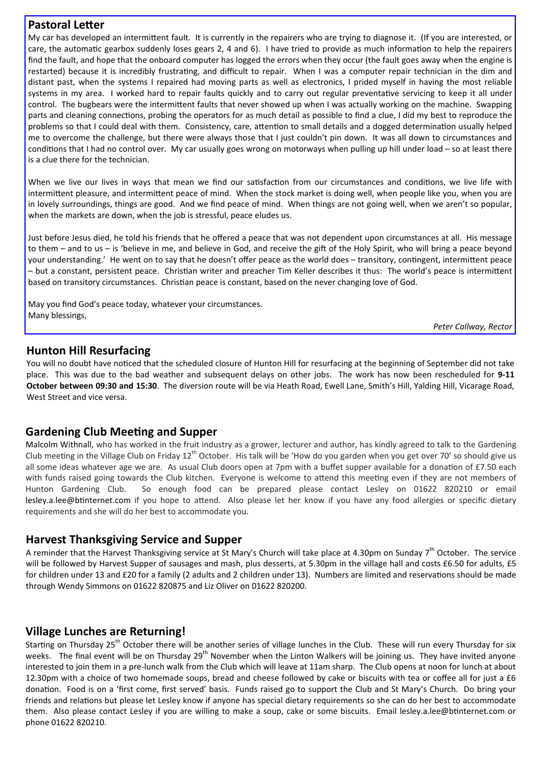## **Pastoral Letter**

My car has developed an intermittent fault. It is currently in the repairers who are trying to diagnose it. (If you are interested, or care, the automatic gearbox suddenly loses gears 2, 4 and 6). I have tried to provide as much information to help the repairers find the fault, and hope that the onboard computer has logged the errors when they occur (the fault goes away when the engine is restarted) because it is incredibly frustrating, and difficult to repair. When I was a computer repair technician in the dim and distant past, when the systems I repaired had moving parts as well as electronics, I prided myself in having the most reliable systems in my area. I worked hard to repair faults quickly and to carry out regular preventative servicing to keep it all under control. The bugbears were the intermittent faults that never showed up when I was actually working on the machine. Swapping parts and cleaning connections, probing the operators for as much detail as possible to find a clue, I did my best to reproduce the problems so that I could deal with them. Consistency, care, attention to small details and a dogged determination usually helped me to overcome the challenge, but there were always those that I just couldn't pin down. It was all down to circumstances and conditions that I had no control over. My car usually goes wrong on motorways when pulling up hill under load – so at least there is a clue there for the technician.

When we live our lives in ways that mean we find our satisfaction from our circumstances and conditions, we live life with intermittent pleasure, and intermittent peace of mind. When the stock market is doing well, when people like you, when you are in lovely surroundings, things are good. And we find peace of mind. When things are not going well, when we aren't so popular, when the markets are down, when the job is stressful, peace eludes us.

Just before Jesus died, he told his friends that he offered a peace that was not dependent upon circumstances at all. His message to them  $-$  and to us  $-$  is 'believe in me, and believe in God, and receive the gift of the Holy Spirit, who will bring a peace beyond your understanding.' He went on to say that he doesn't offer peace as the world does – transitory, contingent, intermittent peace – but a constant, persistent peace. Christian writer and preacher Tim Keller describes it thus: The world's peace is intermittent based on transitory circumstances. Christian peace is constant, based on the never changing love of God.

May you find God's peace today, whatever your circumstances. Many blessings,

*Peter Callway, Rector* 

## **Hunton Hill Resurfacing**

You will no doubt have noticed that the scheduled closure of Hunton Hill for resurfacing at the beginning of September did not take place. This was due to the bad weather and subsequent delays on other jobs. The work has now been rescheduled for **9‐11 October between 09:30 and 15:30**. The diversion route will be via Heath Road, Ewell Lane, Smith's Hill, Yalding Hill, Vicarage Road, West Street and vice versa.

## **Gardening Club MeeƟng and Supper**

Malcolm Withnall, who has worked in the fruit industry as a grower, lecturer and author, has kindly agreed to talk to the Gardening Club meeting in the Village Club on Friday 12<sup>th</sup> October. His talk will be 'How do you garden when you get over 70' so should give us all some ideas whatever age we are. As usual Club doors open at 7pm with a buffet supper available for a donation of £7.50 each with funds raised going towards the Club kitchen. Everyone is welcome to attend this meeting even if they are not members of Hunton Gardening Club. So enough food can be prepared please contact Lesley on 01622 820210 or email lesley.a.lee@btinternet.com if you hope to attend. Also please let her know if you have any food allergies or specific dietary requirements and she will do her best to accommodate you.

## **Harvest Thanksgiving Service and Supper**

A reminder that the Harvest Thanksgiving service at St Mary's Church will take place at 4.30pm on Sunday 7<sup>th</sup> October. The service will be followed by Harvest Supper of sausages and mash, plus desserts, at 5.30pm in the village hall and costs £6.50 for adults, £5 for children under 13 and £20 for a family (2 adults and 2 children under 13). Numbers are limited and reservations should be made through Wendy Simmons on 01622 820875 and Liz Oliver on 01622 820200.

## **Village Lunches are Returning!**

Starting on Thursday 25<sup>th</sup> October there will be another series of village lunches in the Club. These will run every Thursday for six weeks. The final event will be on Thursday 29<sup>th</sup> November when the Linton Walkers will be joining us. They have invited anyone interested to join them in a pre‐lunch walk from the Club which will leave at 11am sharp. The Club opens at noon for lunch at about 12.30pm with a choice of two homemade soups, bread and cheese followed by cake or biscuits with tea or coffee all for just a £6 donation. Food is on a 'first come, first served' basis. Funds raised go to support the Club and St Mary's Church. Do bring your friends and relations but please let Lesley know if anyone has special dietary requirements so she can do her best to accommodate them. Also please contact Lesley if you are willing to make a soup, cake or some biscuits. Email lesley.a.lee@btinternet.com or phone 01622 820210.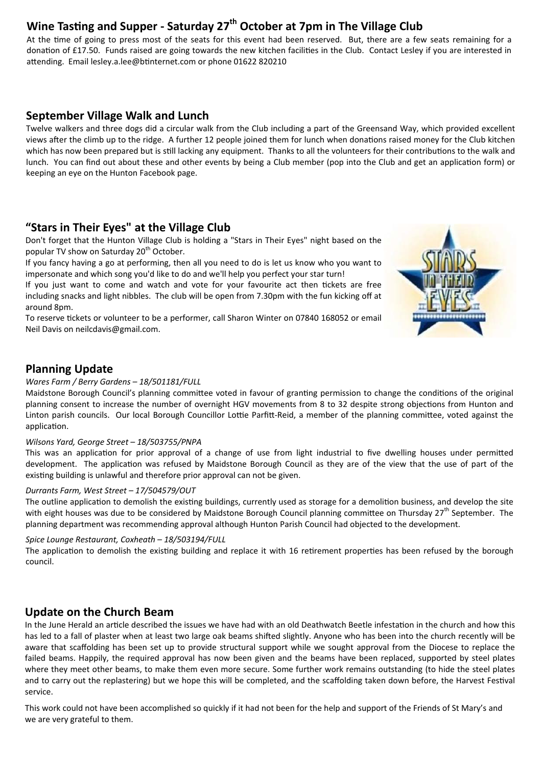## Wine Tasting and Supper - Saturday 27<sup>th</sup> October at 7pm in The Village Club

At the time of going to press most of the seats for this event had been reserved. But, there are a few seats remaining for a donation of £17.50. Funds raised are going towards the new kitchen facilities in the Club. Contact Lesley if you are interested in attending. Email lesley.a.lee@btinternet.com or phone 01622 820210

## **September Village Walk and Lunch**

Twelve walkers and three dogs did a circular walk from the Club including a part of the Greensand Way, which provided excellent views after the climb up to the ridge. A further 12 people joined them for lunch when donations raised money for the Club kitchen which has now been prepared but is still lacking any equipment. Thanks to all the volunteers for their contributions to the walk and lunch. You can find out about these and other events by being a Club member (pop into the Club and get an application form) or keeping an eye on the Hunton Facebook page.

## **"Stars in Their Eyes" at the Village Club**

Don't forget that the Hunton Village Club is holding a "Stars in Their Eyes" night based on the popular TV show on Saturday 20<sup>th</sup> October.

If you fancy having a go at performing, then all you need to do is let us know who you want to impersonate and which song you'd like to do and we'll help you perfect your star turn!

If you just want to come and watch and vote for your favourite act then tickets are free including snacks and light nibbles. The club will be open from 7.30pm with the fun kicking off at around 8pm.

To reserve tickets or volunteer to be a performer, call Sharon Winter on 07840 168052 or email Neil Davis on neilcdavis@gmail.com.



## **Planning Update**

#### *Wares Farm / Berry Gardens – 18/501181/FULL*

Maidstone Borough Council's planning committee voted in favour of granting permission to change the conditions of the original planning consent to increase the number of overnight HGV movements from 8 to 32 despite strong objections from Hunton and Linton parish councils. Our local Borough Councillor Lottie Parfitt-Reid, a member of the planning committee, voted against the application.

#### *Wilsons Yard, George Street – 18/503755/PNPA*

This was an application for prior approval of a change of use from light industrial to five dwelling houses under permitted development. The application was refused by Maidstone Borough Council as they are of the view that the use of part of the existing building is unlawful and therefore prior approval can not be given.

#### *Durrants Farm, West Street – 17/504579/OUT*

The outline application to demolish the existing buildings, currently used as storage for a demolition business, and develop the site with eight houses was due to be considered by Maidstone Borough Council planning committee on Thursday 27<sup>th</sup> September. The planning department was recommending approval although Hunton Parish Council had objected to the development.

#### *Spice Lounge Restaurant, Coxheath – 18/503194/FULL*

The application to demolish the existing building and replace it with 16 retirement properties has been refused by the borough council.

## **Update on the Church Beam**

In the June Herald an article described the issues we have had with an old Deathwatch Beetle infestation in the church and how this has led to a fall of plaster when at least two large oak beams shifted slightly. Anyone who has been into the church recently will be aware that scaffolding has been set up to provide structural support while we sought approval from the Diocese to replace the failed beams. Happily, the required approval has now been given and the beams have been replaced, supported by steel plates where they meet other beams, to make them even more secure. Some further work remains outstanding (to hide the steel plates and to carry out the replastering) but we hope this will be completed, and the scaffolding taken down before, the Harvest Festival service.

This work could not have been accomplished so quickly if it had not been for the help and support of the Friends of St Mary's and we are very grateful to them.